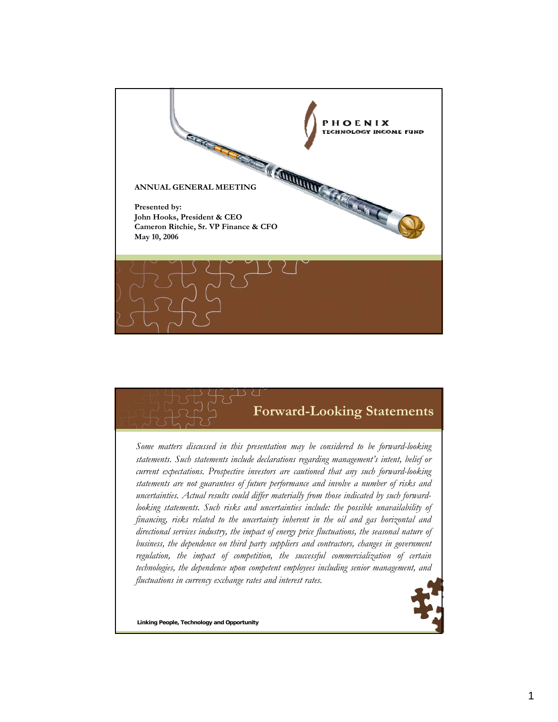

## **Forward-Looking Statements**

*Some matters discussed in this presentation may be considered to be forward-looking statements. Such statements include declarations regarding management's intent, belief or current expectations. Prospective investors are cautioned that any such forward-looking statements are not guarantees of future performance and involve a number of risks and uncertainties. Actual results could differ materially from those indicated by such forwardlooking statements. Such risks and uncertainties include: the possible unavailability of financing, risks related to the uncertainty inherent in the oil and gas horizontal and directional services industry, the impact of energy price fluctuations, the seasonal nature of business, the dependence on third party suppliers and contractors, changes in government regulation, the impact of competition, the successful commercialization of certain technologies, the dependence upon competent employees including senior management, and fluctuations in currency exchange rates and interest rates.*



**Linking People, Technology and Opportunity**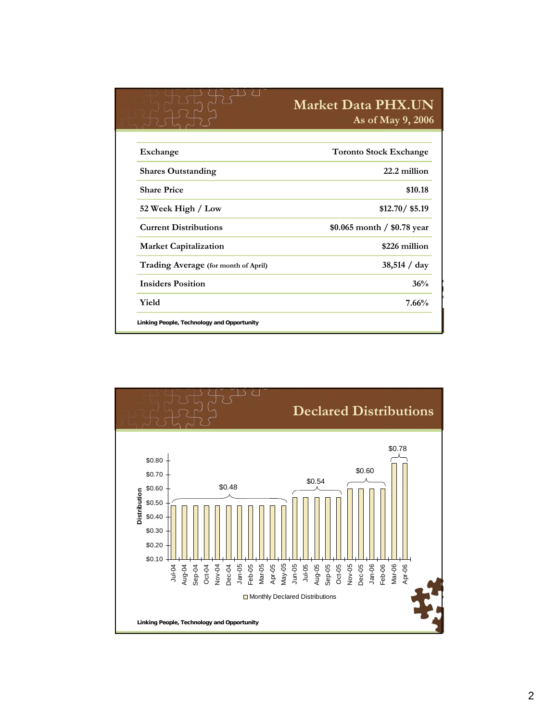|                                      | <b>Market Data PHX.UN</b><br>As of May 9, 2006 |  |  |
|--------------------------------------|------------------------------------------------|--|--|
| Exchange                             | <b>Toronto Stock Exchange</b>                  |  |  |
| <b>Shares Outstanding</b>            | 22.2 million                                   |  |  |
| <b>Share Price</b>                   | \$10.18                                        |  |  |
| 52 Week High / Low                   | \$12.70 / \$5.19                               |  |  |
| <b>Current Distributions</b>         | \$0.065 month / \$0.78 year                    |  |  |
| <b>Market Capitalization</b>         | \$226 million                                  |  |  |
| Trading Average (for month of April) | 38,514 / day                                   |  |  |
| <b>Insiders Position</b>             | 36%                                            |  |  |
| Yield                                | 7.66%                                          |  |  |

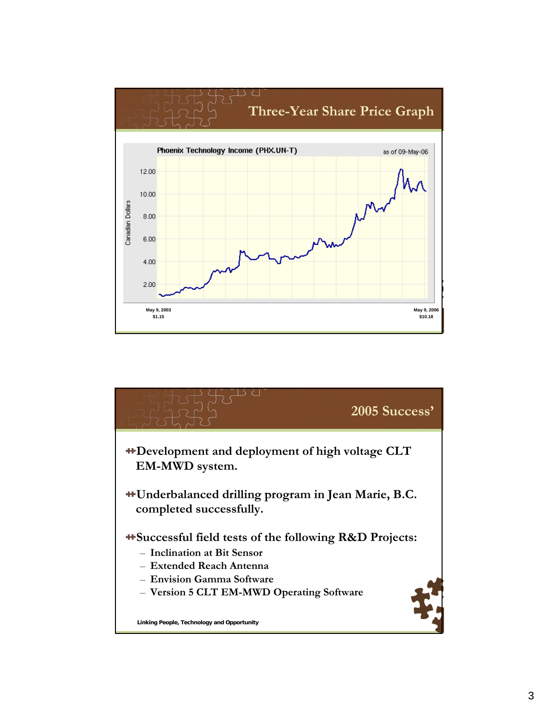

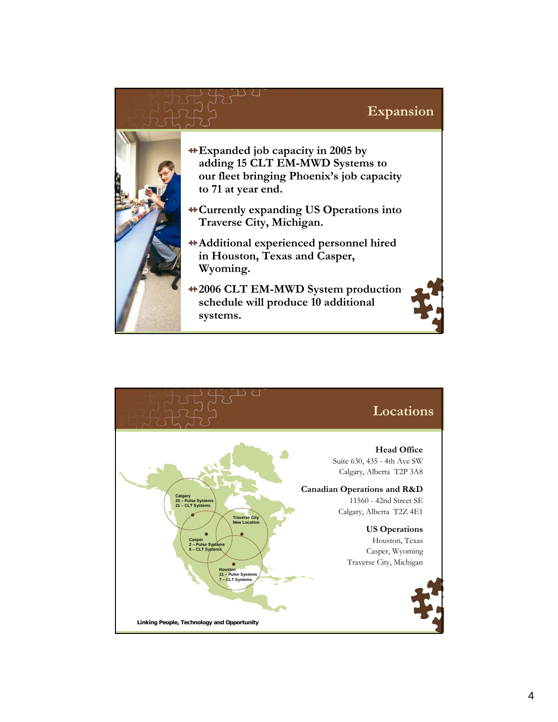## **Expansion**



- **Expanded job capacity in 2005 by adding 15 CLT EM-MWD Systems to our fleet bringing Phoenix's job capacity to 71 at year end.**
- **Currently expanding US Operations into Traverse City, Michigan.**
- **Additional experienced personnel hired in Houston, Texas and Casper, Wyoming.**
- **Linking People, Technology and Opportunity 2006 CLT EM-MWD System production schedule will produce 10 additional systems.**

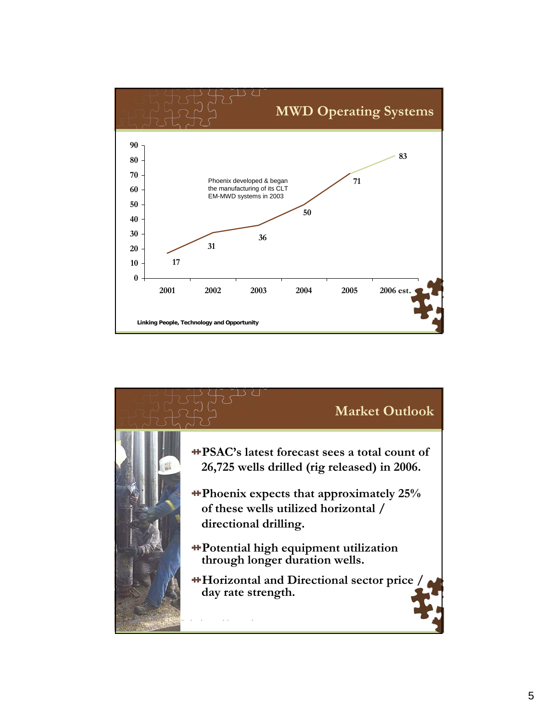

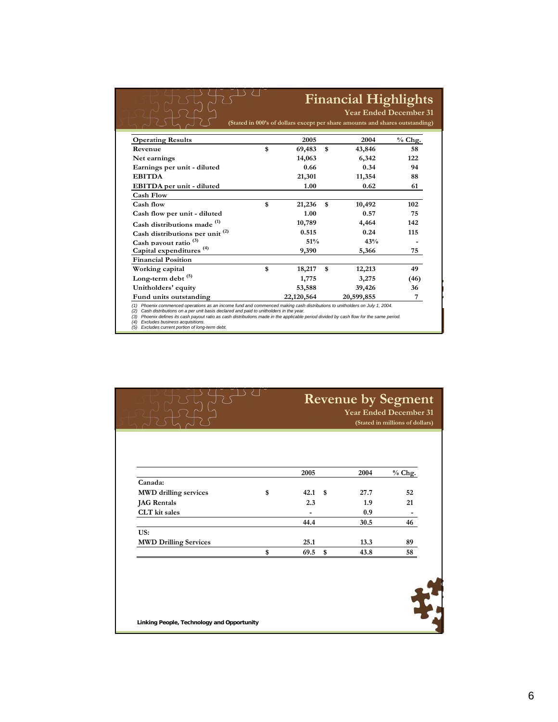|                                            |              | <b>Financial Highlights</b><br><b>Year Ended December 31</b> |                                                                              |          |  |  |  |
|--------------------------------------------|--------------|--------------------------------------------------------------|------------------------------------------------------------------------------|----------|--|--|--|
|                                            |              |                                                              |                                                                              |          |  |  |  |
|                                            |              |                                                              | (Stated in 000's of dollars except per share amounts and shares outstanding) |          |  |  |  |
| <b>Operating Results</b>                   | 2005         |                                                              | 2004                                                                         | $%$ Chg. |  |  |  |
| Revenue                                    | \$<br>69,483 | \$                                                           | 43,846                                                                       | 58       |  |  |  |
| Net earnings                               | 14,063       |                                                              | 6,342                                                                        | 122      |  |  |  |
| Earnings per unit - diluted                | 0.66         |                                                              | 0.34                                                                         | 94       |  |  |  |
| <b>EBITDA</b>                              | 21,301       |                                                              | 11,354                                                                       | 88       |  |  |  |
| EBITDA per unit - diluted                  | 1.00         |                                                              | 0.62                                                                         | 61       |  |  |  |
| <b>Cash Flow</b>                           |              |                                                              |                                                                              |          |  |  |  |
| Cash flow                                  | \$<br>21,236 | \$                                                           | 10,492                                                                       | 102      |  |  |  |
| Cash flow per unit - diluted               | 1.00         |                                                              | 0.57                                                                         | 75       |  |  |  |
| Cash distributions made <sup>(1)</sup>     | 10,789       |                                                              | 4,464                                                                        | 142      |  |  |  |
| Cash distributions per unit <sup>(2)</sup> | 0.515        |                                                              | 0.24                                                                         | 115      |  |  |  |
| Cash payout ratio <sup>(3)</sup>           | 51%          |                                                              | 43%                                                                          |          |  |  |  |
| Capital expenditures <sup>(4)</sup>        | 9,390        |                                                              | 5,366                                                                        | 75       |  |  |  |
| <b>Financial Position</b>                  |              |                                                              |                                                                              |          |  |  |  |
| Working capital                            | \$<br>18,217 | \$                                                           | 12,213                                                                       | 49       |  |  |  |
| Long-term debt $(5)$                       | 1,775        |                                                              | 3,275                                                                        | (46)     |  |  |  |
| Unitholders' equity                        | 53,588       |                                                              | 39,426                                                                       | 36       |  |  |  |
| Fund units outstanding                     | 22,120,564   |                                                              | 20,599,855                                                                   | 7        |  |  |  |

(2) Cash distributions on a per unit basis declared and paid to unitholders in the year.<br>(3) Phoenix defines its cash payout ratio as cash distributions made in the applicable period divided by cash flow for the same per

**Excludes business acquisitions.** 

|                                    | <b>Revenue by Segment</b><br><b>Year Ended December 31</b><br>(Stated in millions of dollars) |     |      |          |
|------------------------------------|-----------------------------------------------------------------------------------------------|-----|------|----------|
|                                    |                                                                                               |     |      |          |
|                                    |                                                                                               |     |      |          |
|                                    | 2005                                                                                          |     | 2004 | $%$ Chg. |
| Canada:                            |                                                                                               |     |      |          |
| <b>MWD</b> drilling services<br>\$ | 42.1                                                                                          | -\$ | 27.7 | 52       |
| <b>JAG</b> Rentals                 | 2.3                                                                                           |     | 1.9  | 21       |
| CLT kit sales                      |                                                                                               |     | 0.9  |          |
|                                    | 44.4                                                                                          |     | 30.5 | 46       |
| US:                                |                                                                                               |     |      |          |
| <b>MWD Drilling Services</b>       | 25.1                                                                                          |     | 13.3 | 89       |
|                                    |                                                                                               | \$  | 43.8 | 58       |

**Linking People, Technology and Opportunity**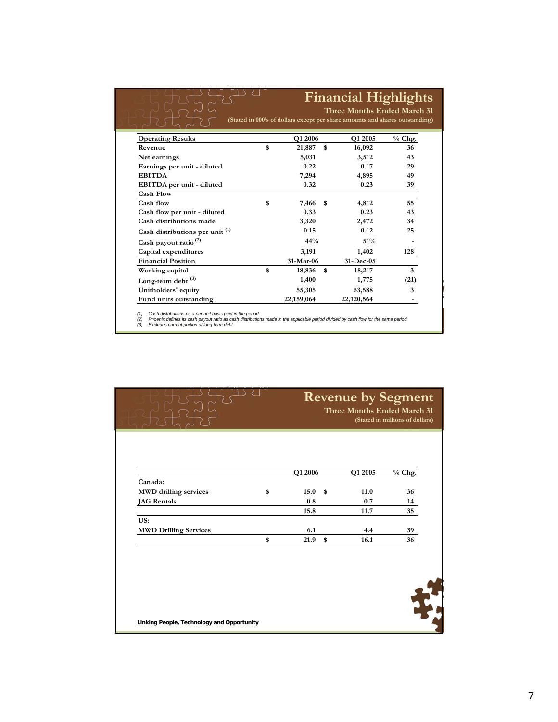|                                            | <b>Financial Highlights</b> |            |    |                                                                                                             |          |  |
|--------------------------------------------|-----------------------------|------------|----|-------------------------------------------------------------------------------------------------------------|----------|--|
|                                            |                             |            |    | Three Months Ended March 31<br>(Stated in 000's of dollars except per share amounts and shares outstanding) |          |  |
| <b>Operating Results</b>                   |                             | Q1 2006    |    | Q1 2005                                                                                                     | $%$ Chg. |  |
| Revenue                                    | \$                          | 21,887     | \$ | 16,092                                                                                                      | 36       |  |
| Net earnings                               |                             | 5,031      |    | 3,512                                                                                                       | 43       |  |
| Earnings per unit - diluted                |                             | 0.22       |    | 0.17                                                                                                        | 29       |  |
| <b>EBITDA</b>                              |                             | 7,294      |    | 4,895                                                                                                       | 49       |  |
| EBITDA per unit - diluted                  |                             | 0.32       |    | 0.23                                                                                                        | 39       |  |
| <b>Cash Flow</b>                           |                             |            |    |                                                                                                             |          |  |
| Cash flow                                  | \$                          | 7,466      | \$ | 4,812                                                                                                       | 55       |  |
| Cash flow per unit - diluted               |                             | 0.33       |    | 0.23                                                                                                        | 43       |  |
| Cash distributions made                    |                             | 3,320      |    | 2,472                                                                                                       | 34       |  |
| Cash distributions per unit <sup>(1)</sup> |                             | 0.15       |    | 0.12                                                                                                        | 25       |  |
| Cash payout ratio <sup>(2)</sup>           |                             | 44%        |    | 51%                                                                                                         |          |  |
| Capital expenditures                       |                             | 3,191      |    | 1,402                                                                                                       | 128      |  |
| <b>Financial Position</b>                  |                             | 31-Mar-06  |    | 31-Dec-05                                                                                                   |          |  |
| Working capital                            | \$                          | 18,836     | \$ | 18,217                                                                                                      | 3        |  |
| Long-term debt $^{(3)}$                    |                             | 1,400      |    | 1,775                                                                                                       | (21)     |  |
| Unitholders' equity                        |                             | 55,305     |    | 53,588                                                                                                      | 3        |  |
| Fund units outstanding                     |                             | 22,159,064 |    | 22,120,564                                                                                                  |          |  |

**Linking Common and Cash payout ratio as cash arsuments**<br>(3) **Excludes current nortion of long-term debt** (1) Cash distributions on a per unit basis paid in the period.<br>(2) Phoenix defines its cash payout ratio as cash distributions made in the applicable period divided by cash flow for the same period.<br>(3) Excludes current

|                                    | <b>Revenue by Segment</b><br>Three Months Ended March 31<br>(Stated in millions of dollars) |      |         |          |
|------------------------------------|---------------------------------------------------------------------------------------------|------|---------|----------|
|                                    | Q1 2006                                                                                     |      | Q1 2005 | $%$ Chg. |
| Canada:                            |                                                                                             |      |         |          |
| <b>MWD</b> drilling services<br>\$ | 15.0                                                                                        | - \$ | 11.0    | 36       |
| <b>JAG</b> Rentals                 | 0.8                                                                                         |      | 0.7     | 14       |
|                                    | 15.8                                                                                        |      | 11.7    | 35       |
| US:                                |                                                                                             |      |         |          |
| <b>MWD Drilling Services</b>       | 6.1                                                                                         |      | 4.4     | 39       |
| \$                                 | 21.9                                                                                        | \$   | 16.1    | 36       |
|                                    |                                                                                             |      |         |          |

**Linking People, Technology and Opportunity**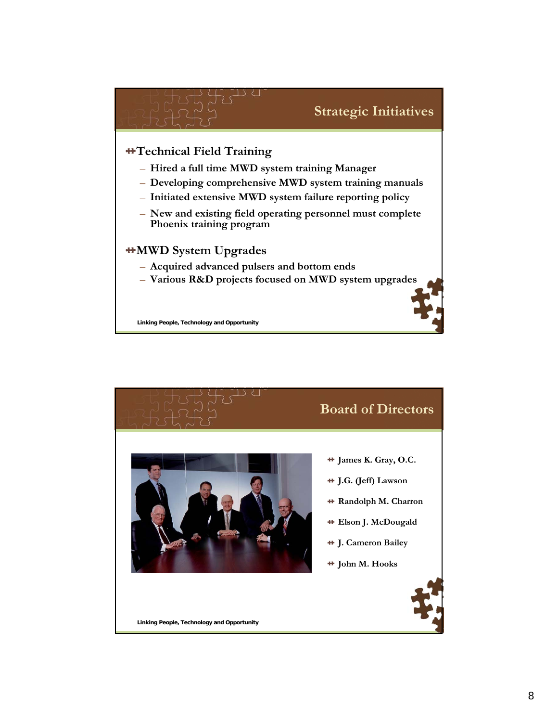